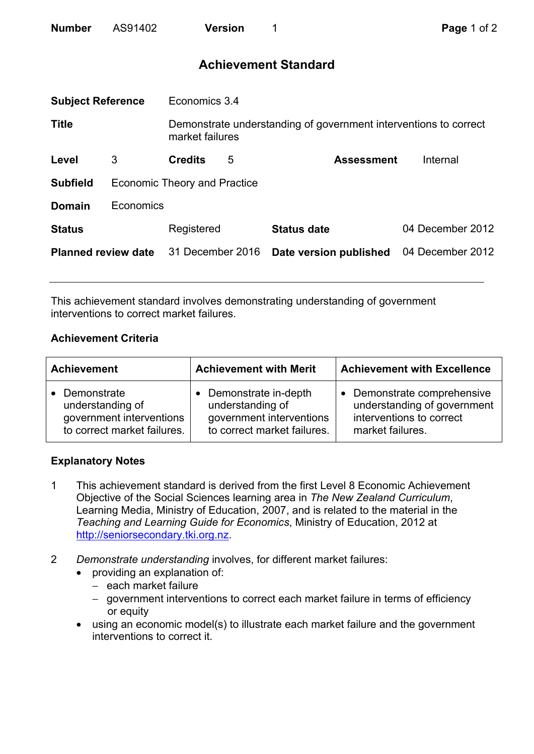| <b>Number</b> | AS91402 | <b>Version</b> |
|---------------|---------|----------------|
|               |         |                |

# **Achievement Standard**

| <b>Subject Reference</b>   |           | Economics 3.4                                                                       |   |                        |                  |  |
|----------------------------|-----------|-------------------------------------------------------------------------------------|---|------------------------|------------------|--|
| <b>Title</b>               |           | Demonstrate understanding of government interventions to correct<br>market failures |   |                        |                  |  |
| Level                      | 3         | <b>Credits</b>                                                                      | 5 | <b>Assessment</b>      | Internal         |  |
| <b>Subfield</b>            |           | <b>Economic Theory and Practice</b>                                                 |   |                        |                  |  |
| <b>Domain</b>              | Economics |                                                                                     |   |                        |                  |  |
| <b>Status</b>              |           | Registered                                                                          |   | <b>Status date</b>     | 04 December 2012 |  |
| <b>Planned review date</b> |           | 31 December 2016                                                                    |   | Date version published | 04 December 2012 |  |
|                            |           |                                                                                     |   |                        |                  |  |

This achievement standard involves demonstrating understanding of government interventions to correct market failures.

## **Achievement Criteria**

| <b>Achievement</b>                                                                                      | <b>Achievement with Merit</b>                                                                                    | <b>Achievement with Excellence</b>                                                                       |
|---------------------------------------------------------------------------------------------------------|------------------------------------------------------------------------------------------------------------------|----------------------------------------------------------------------------------------------------------|
| Demonstrate<br>$\bullet$<br>understanding of<br>government interventions<br>to correct market failures. | Demonstrate in-depth<br>$\bullet$<br>understanding of<br>government interventions<br>to correct market failures. | Demonstrate comprehensive<br>understanding of government<br>interventions to correct<br>market failures. |

## **Explanatory Notes**

- 1 This achievement standard is derived from the first Level 8 Economic Achievement Objective of the Social Sciences learning area in *The New Zealand Curriculum*, Learning Media, Ministry of Education, 2007, and is related to the material in the *Teaching and Learning Guide for Economics*, Ministry of Education, 2012 at http://seniorsecondary.tki.org.nz.
- 2 *Demonstrate understanding* involves, for different market failures:
	- providing an explanation of:
		- − each market failure
		- − government interventions to correct each market failure in terms of efficiency or equity
	- using an economic model(s) to illustrate each market failure and the government interventions to correct it.